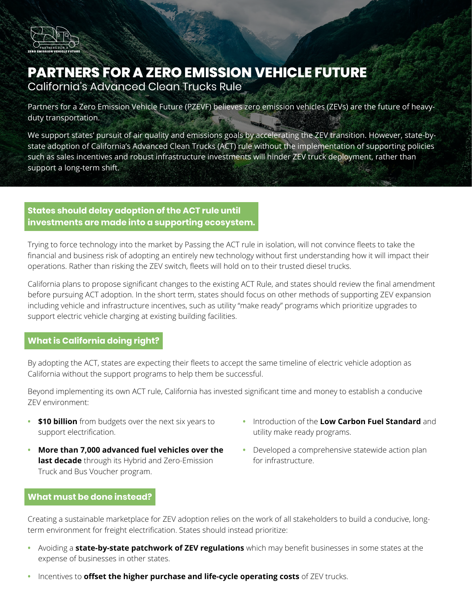

# **PARTNERS FOR A ZERO EMISSION VEHICLE FUTURE**

California's Advanced Clean Trucks Rule

Partners for a Zero Emission Vehicle Future (PZEVF) believes zero emission vehicles (ZEVs) are the future of heavyduty transportation.

We support states' pursuit of air quality and emissions goals by accelerating the ZEV transition. However, state-bystate adoption of California's Advanced Clean Trucks (ACT) rule without the implementation of supporting policies such as sales incentives and robust infrastructure investments will hinder ZEV truck deployment, rather than support a long-term shift.

## **States should delay adoption of the ACT rule until investments are made into a supporting ecosystem.**

Trying to force technology into the market by Passing the ACT rule in isolation, will not convince fleets to take the financial and business risk of adopting an entirely new technology without first understanding how it will impact their operations. Rather than risking the ZEV switch, fleets will hold on to their trusted diesel trucks.

California plans to propose significant changes to the existing ACT Rule, and states should review the final amendment before pursuing ACT adoption. In the short term, states should focus on other methods of supporting ZEV expansion including vehicle and infrastructure incentives, such as utility "make ready" programs which prioritize upgrades to support electric vehicle charging at existing building facilities.

### **What is California doing right?**

By adopting the ACT, states are expecting their fleets to accept the same timeline of electric vehicle adoption as California without the support programs to help them be successful.

Beyond implementing its own ACT rule, California has invested significant time and money to establish a conducive ZEV environment:

- **• \$10 billion** from budgets over the next six years to support electrification.
- **• More than 7,000 advanced fuel vehicles over the last decade** through its Hybrid and Zero-Emission Truck and Bus Voucher program.
- **•** Introduction of the **Low Carbon Fuel Standard** and utility make ready programs.
- **•** Developed a comprehensive statewide action plan for infrastructure.

### **What must be done instead?**

Creating a sustainable marketplace for ZEV adoption relies on the work of all stakeholders to build a conducive, longterm environment for freight electrification. States should instead prioritize:

- **•** Avoiding a **state-by-state patchwork of ZEV regulations** which may benefit businesses in some states at the expense of businesses in other states.
- **•** Incentives to **offset the higher purchase and life-cycle operating costs** of ZEV trucks.